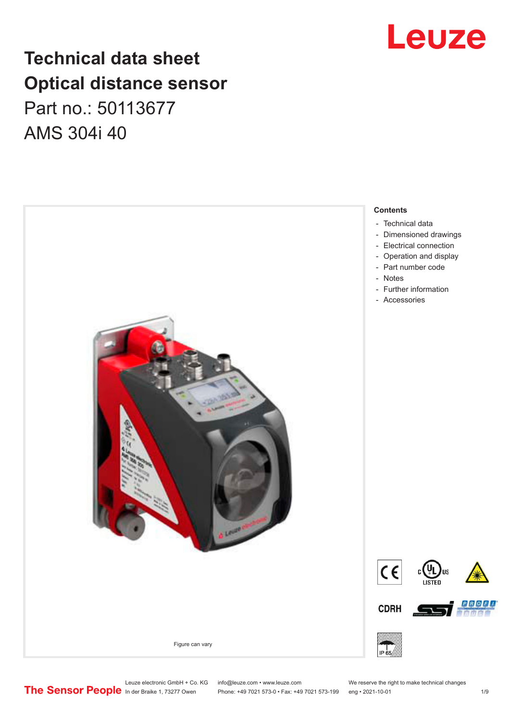# **Technical data sheet Optical distance sensor** Part no.: 50113677 AMS 304i 40



# Leuze

Leuze electronic GmbH + Co. KG info@leuze.com • www.leuze.com We reserve the right to make technical changes<br>
The Sensor People in der Braike 1, 73277 Owen Phone: +49 7021 573-0 • Fax: +49 7021 573-199 eng • 2021-10-01

Phone: +49 7021 573-0 • Fax: +49 7021 573-199 eng • 2021-10-01 1 2021-10-01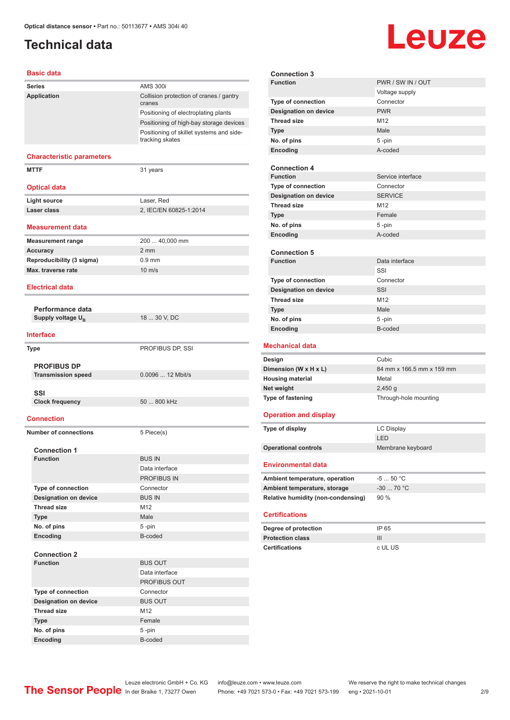# <span id="page-1-0"></span>**Technical data**

# **Leuze**

#### **Basic data**

| <b>Series</b>                          | <b>AMS 300i</b>                                             |
|----------------------------------------|-------------------------------------------------------------|
| Application                            | Collision protection of cranes / gantry<br>cranes           |
|                                        | Positioning of electroplating plants                        |
|                                        | Positioning of high-bay storage devices                     |
|                                        | Positioning of skillet systems and side-<br>tracking skates |
| <b>Characteristic parameters</b>       |                                                             |
| <b>MTTF</b>                            | 31 years                                                    |
| <b>Optical data</b>                    |                                                             |
| <b>Light source</b>                    | Laser, Red                                                  |
| Laser class                            | 2, IEC/EN 60825-1:2014                                      |
| <b>Measurement data</b>                |                                                             |
| <b>Measurement range</b>               | 200  40,000 mm                                              |
| <b>Accuracy</b>                        | $2 \, \text{mm}$                                            |
| Reproducibility (3 sigma)              | $0.9$ mm                                                    |
| Max. traverse rate                     | $10 \text{ m/s}$                                            |
| <b>Electrical data</b>                 |                                                             |
| Performance data                       |                                                             |
| Supply voltage U <sub>R</sub>          | 18  30 V, DC                                                |
| <b>Interface</b>                       |                                                             |
|                                        |                                                             |
| <b>Type</b>                            | PROFIBUS DP, SSI                                            |
| <b>PROFIBUS DP</b>                     |                                                             |
| <b>Transmission speed</b>              | 0.0096  12 Mbit/s                                           |
|                                        |                                                             |
| SSI                                    |                                                             |
| <b>Clock frequency</b>                 | 50  800 kHz                                                 |
| <b>Connection</b>                      |                                                             |
| <b>Number of connections</b>           | 5 Piece(s)                                                  |
|                                        |                                                             |
| <b>Connection 1</b><br><b>Function</b> | <b>BUS IN</b>                                               |
|                                        | Data interface                                              |
|                                        | PROFIBUS IN                                                 |
| Type of connection                     | Connector                                                   |
| <b>Designation on device</b>           | <b>BUS IN</b>                                               |
| <b>Thread size</b>                     | M12                                                         |
| <b>Type</b>                            | Male                                                        |
| No. of pins                            | 5-pin                                                       |
| Encoding                               | B-coded                                                     |
|                                        |                                                             |
| <b>Connection 2</b>                    |                                                             |
| <b>Function</b>                        | <b>BUS OUT</b>                                              |
|                                        | Data interface                                              |
|                                        | PROFIBUS OUT                                                |
| Type of connection                     | Connector                                                   |
| <b>Designation on device</b>           | <b>BUS OUT</b>                                              |
| <b>Thread size</b>                     | M12                                                         |
| <b>Type</b>                            | Female                                                      |
| No. of pins                            | 5-pin                                                       |
| Encoding                               | B-coded                                                     |

| <b>Connection 3</b>                    |                           |  |
|----------------------------------------|---------------------------|--|
| <b>Function</b>                        | PWR / SW IN / OUT         |  |
|                                        | Voltage supply            |  |
| Type of connection                     | Connector                 |  |
| <b>Designation on device</b>           | <b>PWR</b>                |  |
| <b>Thread size</b>                     | M12                       |  |
| <b>Type</b>                            | Male                      |  |
| No. of pins                            | 5 -pin                    |  |
| Encoding                               | A-coded                   |  |
|                                        |                           |  |
| <b>Connection 4</b>                    |                           |  |
| <b>Function</b>                        | Service interface         |  |
| Type of connection                     | Connector                 |  |
| <b>Designation on device</b>           | <b>SERVICE</b>            |  |
| <b>Thread size</b>                     | M12                       |  |
| <b>Type</b>                            | Female                    |  |
| No. of pins                            | 5-pin                     |  |
| Encoding                               | A-coded                   |  |
|                                        |                           |  |
| <b>Connection 5</b><br><b>Function</b> | Data interface            |  |
|                                        | SSI                       |  |
| <b>Type of connection</b>              | Connector                 |  |
| <b>Designation on device</b>           | SSI                       |  |
| <b>Thread size</b>                     | M <sub>12</sub>           |  |
| <b>Type</b>                            | Male                      |  |
| No. of pins                            | 5-pin                     |  |
| Encoding                               | B-coded                   |  |
|                                        |                           |  |
| <b>Mechanical data</b>                 |                           |  |
| Design                                 | Cubic                     |  |
| Dimension (W x H x L)                  | 84 mm x 166.5 mm x 159 mm |  |
| <b>Housing material</b>                | Metal                     |  |
| Net weight                             | $2,450$ g                 |  |
| Type of fastening                      | Through-hole mounting     |  |
| <b>Operation and display</b>           |                           |  |
|                                        |                           |  |
| Type of display                        | <b>LC Display</b>         |  |
|                                        | LED                       |  |
| <b>Operational controls</b>            | Membrane keyboard         |  |
| <b>Environmental data</b>              |                           |  |
| Ambient temperature, operation         | $-550 °C$                 |  |
| Ambient temperature, storage           | $-30$ 70 °C               |  |
| Relative humidity (non-condensing)     | 90%                       |  |
| <b>Certifications</b>                  |                           |  |
| Degree of protection                   | IP 65                     |  |
| <b>Protection class</b>                | III                       |  |
| <b>Certifications</b>                  | c UL US                   |  |
|                                        |                           |  |
|                                        |                           |  |
|                                        |                           |  |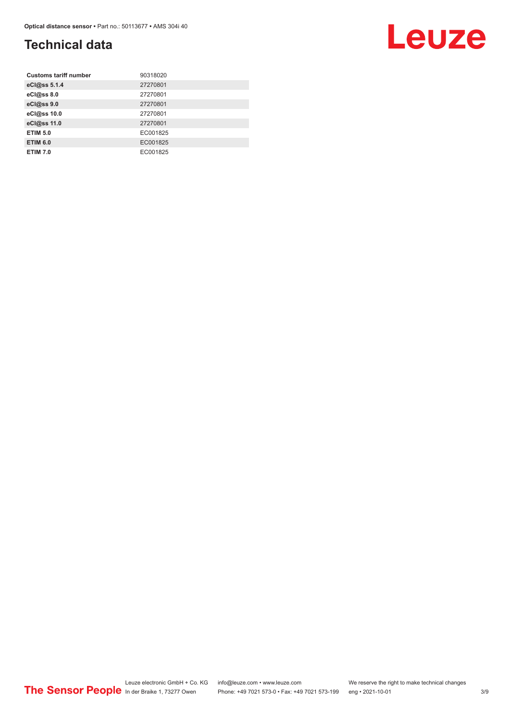# **Technical data**

| <b>Customs tariff number</b> | 90318020 |
|------------------------------|----------|
| eCl@ss 5.1.4                 | 27270801 |
| eCl@ss 8.0                   | 27270801 |
| eCl@ss 9.0                   | 27270801 |
| eCl@ss 10.0                  | 27270801 |
| eCl@ss 11.0                  | 27270801 |
| <b>ETIM 5.0</b>              | EC001825 |
| <b>ETIM 6.0</b>              | EC001825 |
| <b>ETIM 7.0</b>              | EC001825 |

# Leuze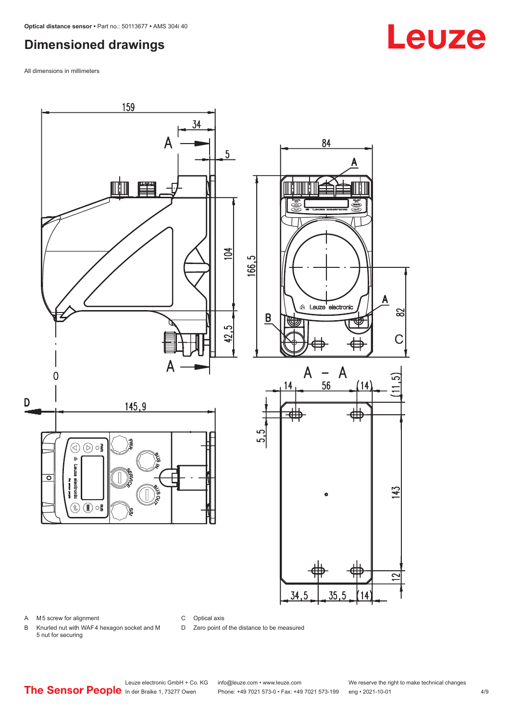# <span id="page-3-0"></span>**Dimensioned drawings**

All dimensions in millimeters



C Optical axis

D Zero point of the distance to be measured

B Knurled nut with WAF 4 hexagon socket and M 5 nut for securing

# **Leuze**

Leuze electronic GmbH + Co. KG info@leuze.com • www.leuze.com We reserve the right to make technical changes<br>
The Sensor People in der Braike 1, 73277 Owen Phone: +49 7021 573-0 • Fax: +49 7021 573-199 eng • 2021-10-01

Phone: +49 7021 573-0 • Fax: +49 7021 573-199 eng • 2021-10-01 4/9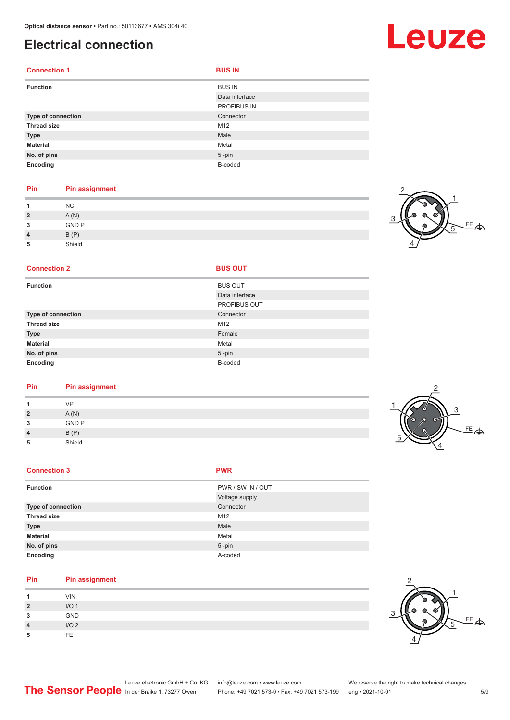# <span id="page-4-0"></span>**Electrical connection**

| <b>Connection 1</b> | <b>BUS IN</b>  |
|---------------------|----------------|
| <b>Function</b>     | <b>BUS IN</b>  |
|                     | Data interface |
|                     | PROFIBUS IN    |
| Type of connection  | Connector      |
| <b>Thread size</b>  | M12            |
| <b>Type</b>         | Male           |
| <b>Material</b>     | Metal          |
| No. of pins         | $5 - pin$      |
| Encoding            | B-coded        |

### **Pin Pin assignment**

|          | <b>NC</b>    |  |
|----------|--------------|--|
| <u>?</u> | A(N)         |  |
| ໍາ<br>u  | <b>GND P</b> |  |
|          | B(P)         |  |
| 5        | Shield       |  |

### 트<br>수 1 2 4 5

#### **Connection 2**

| <b>Function</b>    | <b>BUS OUT</b>      |
|--------------------|---------------------|
|                    | Data interface      |
|                    | <b>PROFIBUS OUT</b> |
| Type of connection | Connector           |
| <b>Thread size</b> | M12                 |
| <b>Type</b>        | Female              |
| <b>Material</b>    | Metal               |
| No. of pins        | $5$ -pin            |
| Encoding           | B-coded             |

### **Pin Pin assignment**

|                 | VP           |  |
|-----------------|--------------|--|
| ຳ               | A(N)         |  |
| $\bullet$<br>۰J | <b>GND P</b> |  |
| 4               | B(P)         |  |
| 5               | Shield       |  |

#### **Connection 3 PWR**

| <b>Function</b>    | PWR / SW IN / OUT |
|--------------------|-------------------|
|                    | Voltage supply    |
| Type of connection | Connector         |
| <b>Thread size</b> | M12               |
| <b>Type</b>        | Male              |
| <b>Material</b>    | Metal             |
| No. of pins        | $5 - pin$         |
| Encoding           | A-coded           |

#### **Pin Pin assignment**

|                        | <b>VIN</b>       |
|------------------------|------------------|
| $\mathbf{\Omega}$<br>- | I/O <sub>1</sub> |
| 3                      | GND              |
| $\boldsymbol{\Lambda}$ | I/O2             |
| 5                      | FF.              |



# Leuze

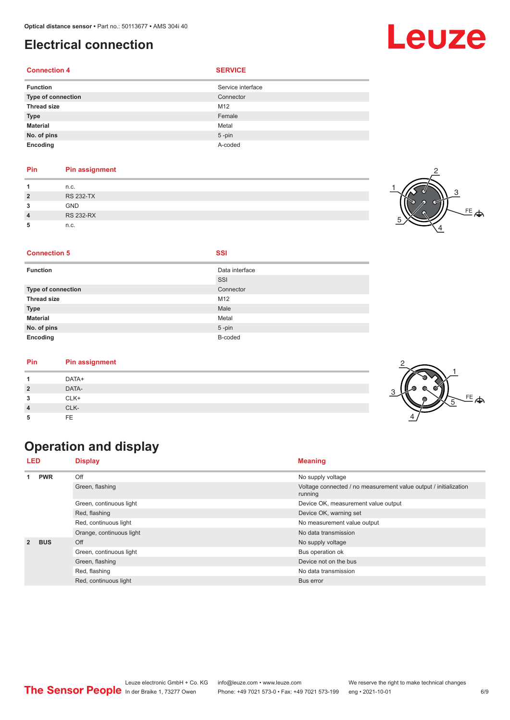# <span id="page-5-0"></span>**Electrical connection**

### **Connection 4 SERVICE**

| <b>Function</b>    | Service interface |
|--------------------|-------------------|
| Type of connection | Connector         |
| <b>Thread size</b> | M12               |
| <b>Type</b>        | Female            |
| <b>Material</b>    | Metal             |
| No. of pins        | $5 - pin$         |
| Encoding           | A-coded           |

#### **Pin Pin assignment**

|                | n.c.             |  |
|----------------|------------------|--|
| $\overline{2}$ | <b>RS 232-TX</b> |  |
| ໍາ             | <b>GND</b>       |  |
| $\overline{4}$ | <b>RS 232-RX</b> |  |
| 5              | n.c.             |  |

**Connection 5 SSI** 

| Data interface |
|----------------|
| SSI            |
| Connector      |
| M12            |
| Male           |
| Metal          |
| $5$ -pin       |
| B-coded        |
|                |

#### **Pin Pin assignment**

| Pin            | <b>Pin assignment</b> |  |
|----------------|-----------------------|--|
|                | DATA+                 |  |
| $\overline{2}$ | DATA-                 |  |
| 3              | CLK+                  |  |
| $\overline{4}$ | CLK-                  |  |
| -5             | FE.                   |  |

# **Operation and display**

| <b>LED</b>      |            | <b>Display</b>           | <b>Meaning</b>                                                              |  |
|-----------------|------------|--------------------------|-----------------------------------------------------------------------------|--|
| <b>PWR</b><br>4 | Off        | No supply voltage        |                                                                             |  |
|                 |            | Green, flashing          | Voltage connected / no measurement value output / initialization<br>running |  |
|                 |            | Green, continuous light  | Device OK, measurement value output                                         |  |
|                 |            | Red, flashing            | Device OK, warning set                                                      |  |
|                 |            | Red, continuous light    | No measurement value output                                                 |  |
|                 |            | Orange, continuous light | No data transmission                                                        |  |
| $\overline{2}$  | <b>BUS</b> | Off                      | No supply voltage                                                           |  |
|                 |            | Green, continuous light  | Bus operation ok                                                            |  |
|                 |            | Green, flashing          | Device not on the bus                                                       |  |
|                 |            | Red, flashing            | No data transmission                                                        |  |
|                 |            | Red, continuous light    | Bus error                                                                   |  |





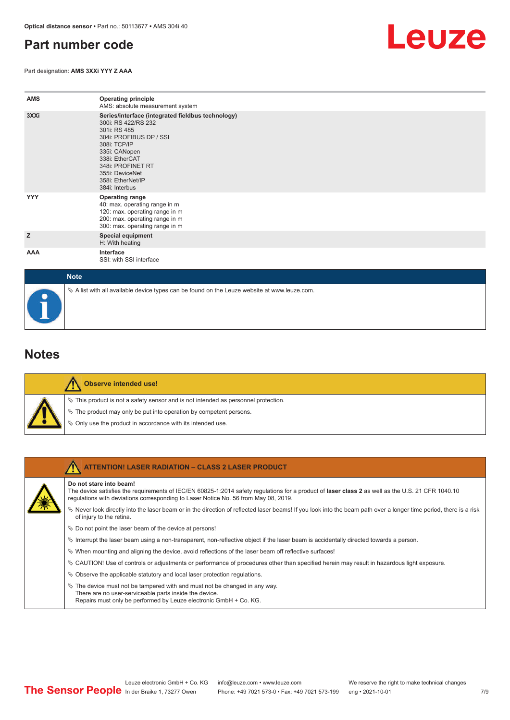# <span id="page-6-0"></span>**Part number code**

Part designation: **AMS 3XXi YYY Z AAA**



| <b>AMS</b> | <b>Operating principle</b><br>AMS: absolute measurement system                                                                                                                                                                                        |
|------------|-------------------------------------------------------------------------------------------------------------------------------------------------------------------------------------------------------------------------------------------------------|
| 3XXi       | Series/interface (integrated fieldbus technology)<br>300i: RS 422/RS 232<br>301i: RS 485<br>304i: PROFIBUS DP / SSI<br>308i: TCP/IP<br>335i: CANopen<br>338i: EtherCAT<br>348i: PROFINET RT<br>355i: DeviceNet<br>358i: EtherNet/IP<br>384i: Interbus |
| <b>YYY</b> | <b>Operating range</b><br>40: max. operating range in m<br>120: max. operating range in m<br>200: max. operating range in m<br>300: max. operating range in m                                                                                         |
| z          | <b>Special equipment</b><br>H: With heating                                                                                                                                                                                                           |
| AAA        | Interface<br>SSI: with SSI interface                                                                                                                                                                                                                  |

| <b>Note</b>                                                                                       |
|---------------------------------------------------------------------------------------------------|
| Vector A list with all available device types can be found on the Leuze website at www.leuze.com. |

### **Notes**

| M<br>۳<br>м<br>۳ |
|------------------|
| ۲                |

#### **Observe intended use!**

This product is not a safety sensor and is not intended as personnel protection.

- The product may only be put into operation by competent persons.
- Only use the product in accordance with its intended use.

| <b>ATTENTION! LASER RADIATION - CLASS 2 LASER PRODUCT</b>                                                                                                                                                                                                           |
|---------------------------------------------------------------------------------------------------------------------------------------------------------------------------------------------------------------------------------------------------------------------|
| Do not stare into beam!<br>The device satisfies the requirements of IEC/EN 60825-1:2014 safety requlations for a product of laser class 2 as well as the U.S. 21 CFR 1040.10<br>requlations with deviations corresponding to Laser Notice No. 56 from May 08, 2019. |
| Vever look directly into the laser beam or in the direction of reflected laser beams! If you look into the beam path over a longer time period, there is a risk<br>of injury to the retina.                                                                         |
| $\&$ Do not point the laser beam of the device at persons!                                                                                                                                                                                                          |
| $\%$ Interrupt the laser beam using a non-transparent, non-reflective object if the laser beam is accidentally directed towards a person.                                                                                                                           |
| $\%$ When mounting and aligning the device, avoid reflections of the laser beam off reflective surfaces!                                                                                                                                                            |
| $\&$ CAUTION! Use of controls or adjustments or performance of procedures other than specified herein may result in hazardous light exposure.                                                                                                                       |
| $\&$ Observe the applicable statutory and local laser protection regulations.                                                                                                                                                                                       |
| $\%$ The device must not be tampered with and must not be changed in any way.<br>There are no user-serviceable parts inside the device.<br>Repairs must only be performed by Leuze electronic GmbH + Co. KG.                                                        |

7 /9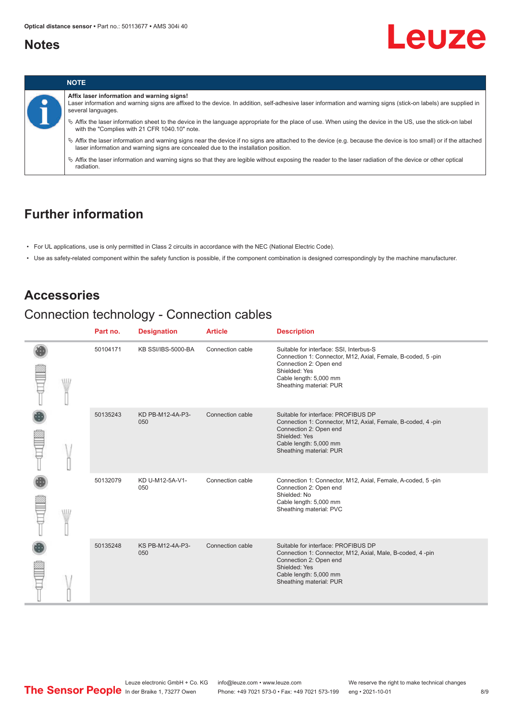## <span id="page-7-0"></span>**Notes**





# **Further information**

- For UL applications, use is only permitted in Class 2 circuits in accordance with the NEC (National Electric Code).
- Use as safety-related component within the safety function is possible, if the component combination is designed correspondingly by the machine manufacturer.

## **Accessories**

# Connection technology - Connection cables

|       | Part no. | <b>Designation</b>      | <b>Article</b>   | <b>Description</b>                                                                                                                                                                                     |
|-------|----------|-------------------------|------------------|--------------------------------------------------------------------------------------------------------------------------------------------------------------------------------------------------------|
|       | 50104171 | KB SSI/IBS-5000-BA      | Connection cable | Suitable for interface: SSI, Interbus-S<br>Connection 1: Connector, M12, Axial, Female, B-coded, 5-pin<br>Connection 2: Open end<br>Shielded: Yes<br>Cable length: 5,000 mm<br>Sheathing material: PUR |
|       | 50135243 | KD PB-M12-4A-P3-<br>050 | Connection cable | Suitable for interface: PROFIBUS DP<br>Connection 1: Connector, M12, Axial, Female, B-coded, 4-pin<br>Connection 2: Open end<br>Shielded: Yes<br>Cable length: 5,000 mm<br>Sheathing material: PUR     |
| VIII. | 50132079 | KD U-M12-5A-V1-<br>050  | Connection cable | Connection 1: Connector, M12, Axial, Female, A-coded, 5-pin<br>Connection 2: Open end<br>Shielded: No<br>Cable length: 5,000 mm<br>Sheathing material: PVC                                             |
|       | 50135248 | KS PB-M12-4A-P3-<br>050 | Connection cable | Suitable for interface: PROFIBUS DP<br>Connection 1: Connector, M12, Axial, Male, B-coded, 4-pin<br>Connection 2: Open end<br>Shielded: Yes<br>Cable length: 5,000 mm<br>Sheathing material: PUR       |